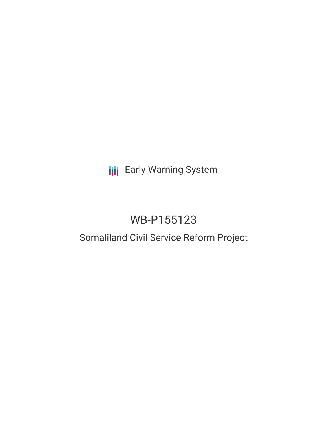## **III** Early Warning System

### WB-P155123

# Somaliland Civil Service Reform Project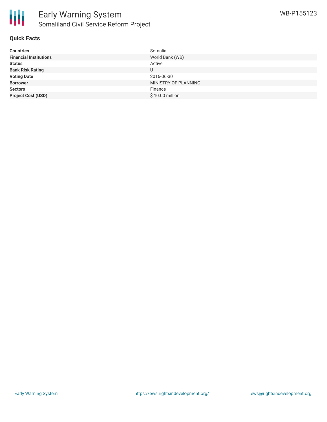

#### **Quick Facts**

| <b>Countries</b>              | Somalia              |
|-------------------------------|----------------------|
| <b>Financial Institutions</b> | World Bank (WB)      |
| <b>Status</b>                 | Active               |
| <b>Bank Risk Rating</b>       | U                    |
| <b>Voting Date</b>            | 2016-06-30           |
| <b>Borrower</b>               | MINISTRY OF PLANNING |
| <b>Sectors</b>                | Finance              |
| <b>Project Cost (USD)</b>     | \$10.00 million      |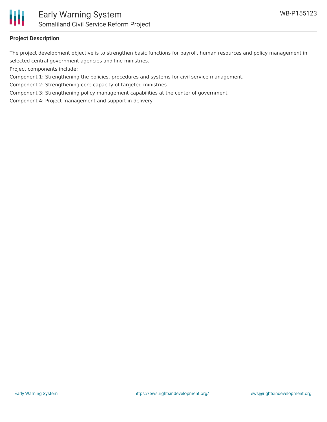

#### **Project Description**

The project development objective is to strengthen basic functions for payroll, human resources and policy management in selected central government agencies and line ministries.

Project components include;

Component 1: Strengthening the policies, procedures and systems for civil service management.

Component 2: Strengthening core capacity of targeted ministries

Component 3: Strengthening policy management capabilities at the center of government

Component 4: Project management and support in delivery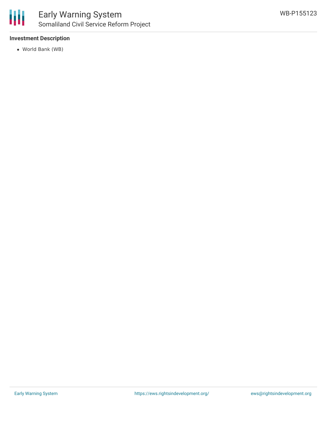

#### **Investment Description**

World Bank (WB)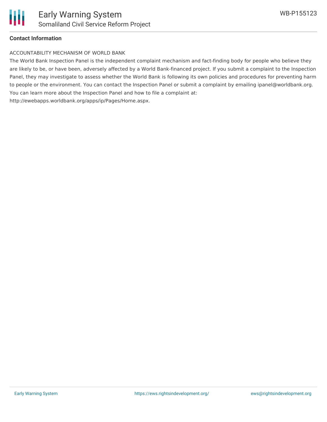

#### **Contact Information**

#### ACCOUNTABILITY MECHANISM OF WORLD BANK

The World Bank Inspection Panel is the independent complaint mechanism and fact-finding body for people who believe they are likely to be, or have been, adversely affected by a World Bank-financed project. If you submit a complaint to the Inspection Panel, they may investigate to assess whether the World Bank is following its own policies and procedures for preventing harm to people or the environment. You can contact the Inspection Panel or submit a complaint by emailing ipanel@worldbank.org. You can learn more about the Inspection Panel and how to file a complaint at: http://ewebapps.worldbank.org/apps/ip/Pages/Home.aspx.